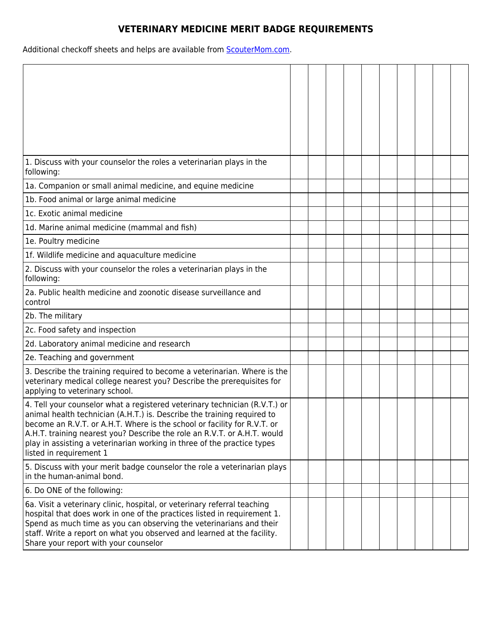## **VETERINARY MEDICINE MERIT BADGE REQUIREMENTS**

Additional checkoff sheets and helps are available from **ScouterMom.com**.

| 1. Discuss with your counselor the roles a veterinarian plays in the<br>following:                                                                                                                                                                                                                                                                                                                                  |  |  |  |  |  |
|---------------------------------------------------------------------------------------------------------------------------------------------------------------------------------------------------------------------------------------------------------------------------------------------------------------------------------------------------------------------------------------------------------------------|--|--|--|--|--|
| 1a. Companion or small animal medicine, and equine medicine                                                                                                                                                                                                                                                                                                                                                         |  |  |  |  |  |
| 1b. Food animal or large animal medicine                                                                                                                                                                                                                                                                                                                                                                            |  |  |  |  |  |
| 1c. Exotic animal medicine                                                                                                                                                                                                                                                                                                                                                                                          |  |  |  |  |  |
| 1d. Marine animal medicine (mammal and fish)                                                                                                                                                                                                                                                                                                                                                                        |  |  |  |  |  |
| 1e. Poultry medicine                                                                                                                                                                                                                                                                                                                                                                                                |  |  |  |  |  |
| 1f. Wildlife medicine and aquaculture medicine                                                                                                                                                                                                                                                                                                                                                                      |  |  |  |  |  |
| 2. Discuss with your counselor the roles a veterinarian plays in the<br>following:                                                                                                                                                                                                                                                                                                                                  |  |  |  |  |  |
| 2a. Public health medicine and zoonotic disease surveillance and<br>control                                                                                                                                                                                                                                                                                                                                         |  |  |  |  |  |
| 2b. The military                                                                                                                                                                                                                                                                                                                                                                                                    |  |  |  |  |  |
| 2c. Food safety and inspection                                                                                                                                                                                                                                                                                                                                                                                      |  |  |  |  |  |
| 2d. Laboratory animal medicine and research                                                                                                                                                                                                                                                                                                                                                                         |  |  |  |  |  |
| 2e. Teaching and government                                                                                                                                                                                                                                                                                                                                                                                         |  |  |  |  |  |
| 3. Describe the training required to become a veterinarian. Where is the<br>veterinary medical college nearest you? Describe the prerequisites for<br>applying to veterinary school.                                                                                                                                                                                                                                |  |  |  |  |  |
| 4. Tell your counselor what a registered veterinary technician (R.V.T.) or<br>animal health technician (A.H.T.) is. Describe the training required to<br>become an R.V.T. or A.H.T. Where is the school or facility for R.V.T. or<br>A.H.T. training nearest you? Describe the role an R.V.T. or A.H.T. would<br>play in assisting a veterinarian working in three of the practice types<br>listed in requirement 1 |  |  |  |  |  |
| 5. Discuss with your merit badge counselor the role a veterinarian plays<br>in the human-animal bond.                                                                                                                                                                                                                                                                                                               |  |  |  |  |  |
| 6. Do ONE of the following:                                                                                                                                                                                                                                                                                                                                                                                         |  |  |  |  |  |
| 6a. Visit a veterinary clinic, hospital, or veterinary referral teaching<br>hospital that does work in one of the practices listed in requirement 1.<br>Spend as much time as you can observing the veterinarians and their<br>staff. Write a report on what you observed and learned at the facility.<br>Share your report with your counselor                                                                     |  |  |  |  |  |